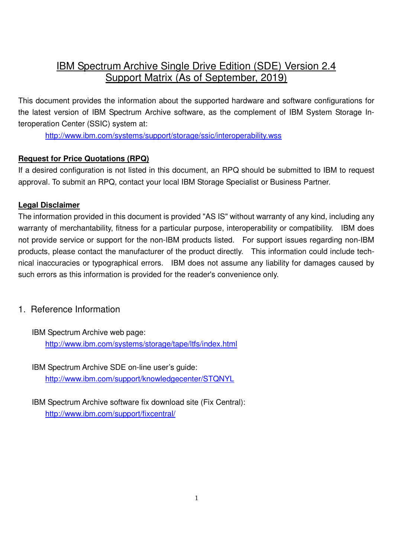# **IBM Spectrum Archive Single Drive Edition (SDE) Version 2.4** Support Matrix (As of September, 2019)

This document provides the information about the supported hardware and software configurations for the latest version of IBM Spectrum Archive software, as the complement of IBM System Storage Interoperation Center (SSIC) system at:

http://www.ibm.com/systems/support/storage/ssic/interoperability.wss

#### **Request for Price Quotations (RPQ)**

If a desired configuration is not listed in this document, an RPQ should be submitted to IBM to request approval. To submit an RPQ, contact your local IBM Storage Specialist or Business Partner.

#### **Legal Disclaimer**

The information provided in this document is provided "AS IS" without warranty of any kind, including any warranty of merchantability, fitness for a particular purpose, interoperability or compatibility. IBM does not provide service or support for the non-IBM products listed. For support issues regarding non-IBM products, please contact the manufacturer of the product directly. This information could include technical inaccuracies or typographical errors. IBM does not assume any liability for damages caused by such errors as this information is provided for the reader's convenience only.

## 1. Reference Information

IBM Spectrum Archive web page: http://www.ibm.com/systems/storage/tape/ltfs/index.html

- IBM Spectrum Archive SDE on-line user's guide: http://www.ibm.com/support/knowledgecenter/STQNYL
- IBM Spectrum Archive software fix download site (Fix Central): http://www.ibm.com/support/fixcentral/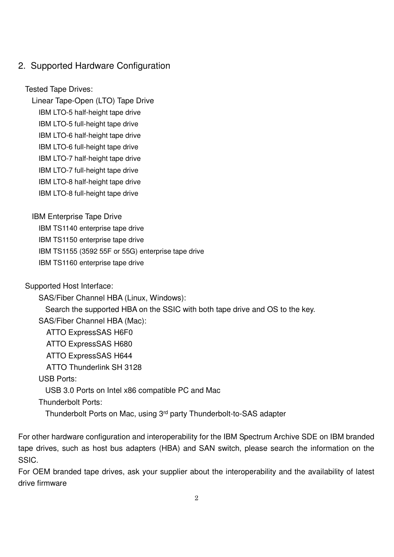## 2. Supported Hardware Configuration

Tested Tape Drives:

Linear Tape-Open (LTO) Tape Drive

IBM LTO-5 half-height tape drive

IBM LTO-5 full-height tape drive

IBM LTO-6 half-height tape drive

IBM LTO-6 full-height tape drive

IBM LTO-7 half-height tape drive

IBM LTO-7 full-height tape drive

IBM LTO-8 half-height tape drive

IBM LTO-8 full-height tape drive

IBM Enterprise Tape Drive

IBM TS1140 enterprise tape drive

IBM TS1150 enterprise tape drive

IBM TS1155 (3592 55F or 55G) enterprise tape drive

IBM TS1160 enterprise tape drive

Supported Host Interface:

SAS/Fiber Channel HBA (Linux, Windows): Search the supported HBA on the SSIC with both tape drive and OS to the key. SAS/Fiber Channel HBA (Mac): ATTO ExpressSAS H6F0 ATTO ExpressSAS H680 ATTO ExpressSAS H644 ATTO Thunderlink SH 3128

USB Ports:

USB 3.0 Ports on Intel x86 compatible PC and Mac

Thunderbolt Ports:

Thunderbolt Ports on Mac, using 3rd party Thunderbolt-to-SAS adapter

For other hardware configuration and interoperability for the IBM Spectrum Archive SDE on IBM branded tape drives, such as host bus adapters (HBA) and SAN switch, please search the information on the SSIC.

For OEM branded tape drives, ask your supplier about the interoperability and the availability of latest drive firmware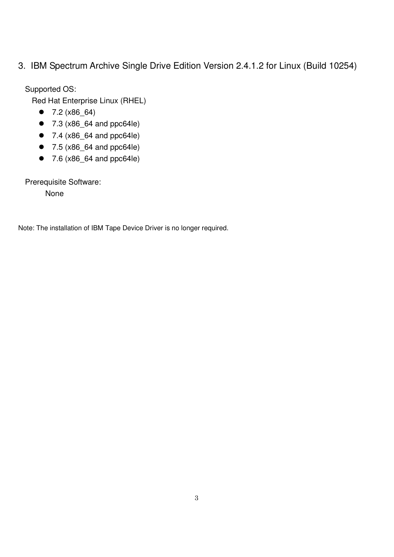## 3. IBM Spectrum Archive Single Drive Edition Version 2.4.1.2 for Linux (Build 10254)

Supported OS:

Red Hat Enterprise Linux (RHEL)

- $7.2 (x86 64)$
- 7.3 (x86\_64 and ppc64le)
- 7.4 (x86\_64 and ppc64le)
- 7.5 (x86\_64 and ppc64le)
- $7.6$  ( $x86$  64 and ppc64le)

Prerequisite Software:

None

Note: The installation of IBM Tape Device Driver is no longer required.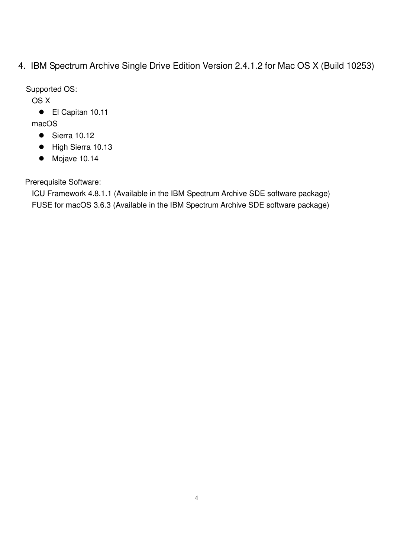4. IBM Spectrum Archive Single Drive Edition Version 2.4.1.2 for Mac OS X (Build 10253)

Supported OS:

OS X

● El Capitan 10.11

macOS

- $\bullet$  Sierra 10.12
- High Sierra 10.13
- $\bullet$  Mojave 10.14

Prerequisite Software:

ICU Framework 4.8.1.1 (Available in the IBM Spectrum Archive SDE software package) FUSE for macOS 3.6.3 (Available in the IBM Spectrum Archive SDE software package)